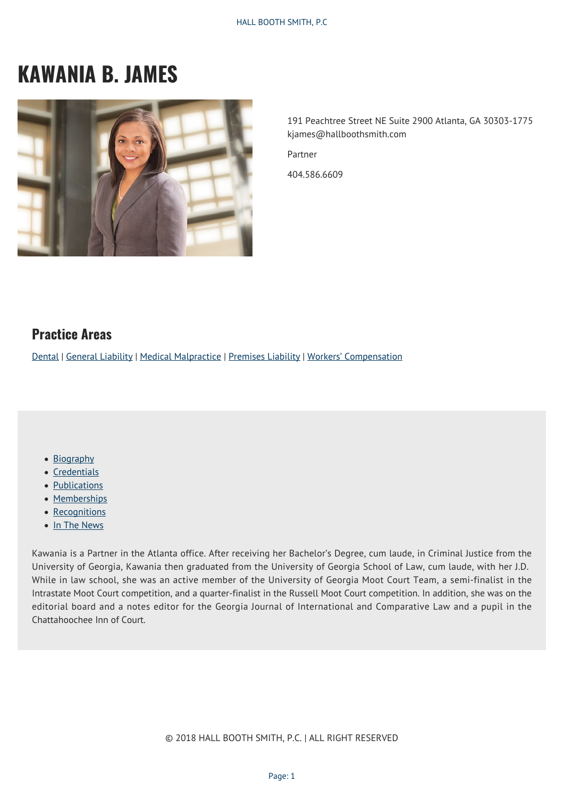# **KAWANIA B. JAMES**



191 Peachtree Street NE Suite 2900 Atlanta, GA 30303-1775 kjames@hallboothsmith.com

Partner

404.586.6609

#### **Practice Areas**

[Dental](https://hallboothsmith.com/page/dental/) | [General Liability](http://hallboothsmith.com/practice-areas/general-liability/) | [Medical Malpractice](https://hallboothsmith.com/page/professional-negligence-medical-malpractice/) | [Premises Liability](https://hallboothsmith.com/page/retail-and-hospitality/) | [Workers' Compensation](http://hallboothsmith.com/practice-areas/workers-compensation/)

- [Biography](#page--1-0)
- [Credentials](#page--1-0)
- [Publications](#page--1-0)
- [Memberships](#page--1-0)
- [Recognitions](#page--1-0)
- [In The News](#page--1-0)

Kawania is a Partner in the Atlanta office. After receiving her Bachelor's Degree, cum laude, in Criminal Justice from the University of Georgia, Kawania then graduated from the University of Georgia School of Law, cum laude, with her J.D. While in law school, she was an active member of the University of Georgia Moot Court Team, a semi-finalist in the Intrastate Moot Court competition, and a quarter-finalist in the Russell Moot Court competition. In addition, she was on the editorial board and a notes editor for the Georgia Journal of International and Comparative Law and a pupil in the Chattahoochee Inn of Court.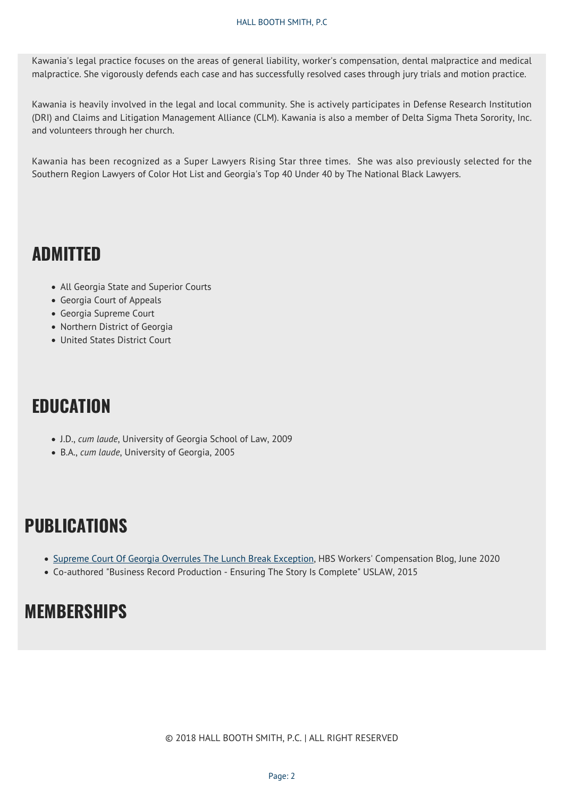Kawania's legal practice focuses on the areas of general liability, worker's compensation, dental malpractice and medical malpractice. She vigorously defends each case and has successfully resolved cases through jury trials and motion practice.

Kawania is heavily involved in the legal and local community. She is actively participates in Defense Research Institution (DRI) and Claims and Litigation Management Alliance (CLM). Kawania is also a member of Delta Sigma Theta Sorority, Inc. and volunteers through her church.

Kawania has been recognized as a Super Lawyers Rising Star three times. She was also previously selected for the Southern Region Lawyers of Color Hot List and Georgia's Top 40 Under 40 by The National Black Lawyers.

### **ADMITTED**

- All Georgia State and Superior Courts
- Georgia Court of Appeals
- Georgia Supreme Court
- Northern District of Georgia
- United States District Court

## **EDUCATION**

- J.D., *cum laude*, University of Georgia School of Law, 2009
- B.A., *cum laude*, University of Georgia, 2005

## **PUBLICATIONS**

- [Supreme Court Of Georgia Overrules The Lunch Break Exception](https://hallboothsmith.com/supreme-court-of-georgia-overrules-the-lunch-break-exception/), HBS Workers' Compensation Blog, June 2020
- Co-authored "Business Record Production Ensuring The Story Is Complete" USLAW, 2015

## **MEMBERSHIPS**

© 2018 HALL BOOTH SMITH, P.C. | ALL RIGHT RESERVED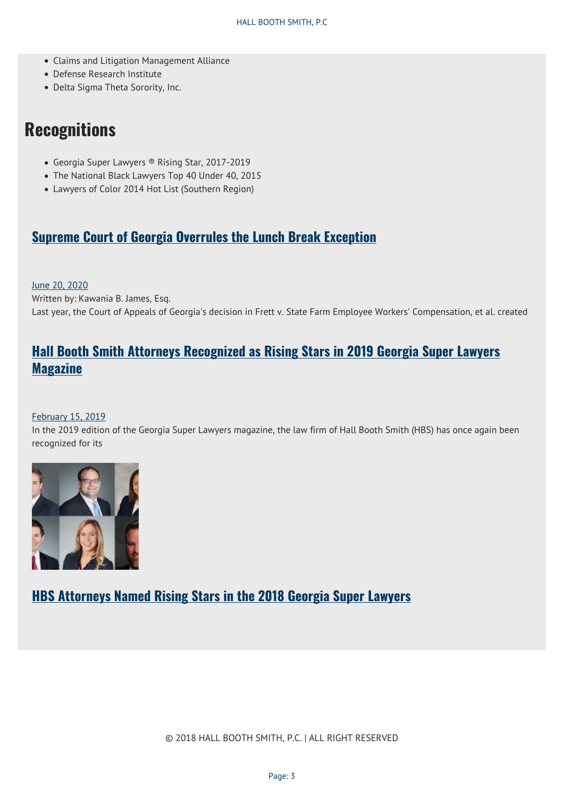- Claims and Litigation Management Alliance
- Defense Research Institute
- Delta Sigma Theta Sorority, Inc.

### **Recognitions**

- Georgia Super Lawyers ® Rising Star, 2017-2019
- The National Black Lawyers Top 40 Under 40, 2015
- Lawyers of Color 2014 Hot List (Southern Region)

#### **[Supreme Court of Georgia Overrules the Lunch Break Exception](https://hallboothsmith.com/supreme-court-of-georgia-overrules-the-lunch-break-exception/)**

[June 20, 2020](https://hallboothsmith.com/2020/06/)

Written by: Kawania B. James, Esq. Last year, the Court of Appeals of Georgia's decision in Frett v. State Farm Employee Workers' Compensation, et al. created

### **[Hall Booth Smith Attorneys Recognized as Rising Stars in 2019 Georgia Super Lawyers](https://hallboothsmith.com/hall-booth-smith-attorneys-recognized-as-rising-stars-in-2019-georgia-super-lawyers-magazine/) [Magazine](https://hallboothsmith.com/hall-booth-smith-attorneys-recognized-as-rising-stars-in-2019-georgia-super-lawyers-magazine/)**

#### [February 15, 2019](https://hallboothsmith.com/2019/02/)

In the 2019 edition of the Georgia Super Lawyers magazine, the law firm of Hall Booth Smith (HBS) has once again been recognized for its



**[HBS Attorneys Named Rising Stars in the 2018 Georgia Super Lawyers](https://hallboothsmith.com/hbs-attorneys-named-rising-stars-in-the-2018-georgia-super-lawyers/)**

© 2018 HALL BOOTH SMITH, P.C. | ALL RIGHT RESERVED